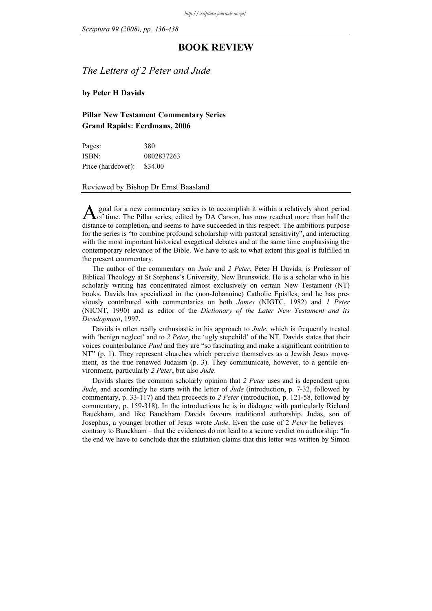## BOOK REVIEW

The Letters of 2 Peter and Jude

by Peter H Davids

## Pillar New Testament Commentary Series Grand Rapids: Eerdmans, 2006

| Pages:             | 380        |
|--------------------|------------|
| ISBN:              | 0802837263 |
| Price (hardcover): | \$34.00    |

## Reviewed by Bishop Dr Ernst Baasland

 goal for a new commentary series is to accomplish it within a relatively short period  $\Lambda$  goal for a new commentary series is to accomplish it within a relatively short period of time. The Pillar series, edited by DA Carson, has now reached more than half the distance to completion, and seems to have succeeded in this respect. The ambitious purpose for the series is "to combine profound scholarship with pastoral sensitivity", and interacting with the most important historical exegetical debates and at the same time emphasising the contemporary relevance of the Bible. We have to ask to what extent this goal is fulfilled in the present commentary.

The author of the commentary on *Jude* and 2 Peter, Peter H Davids, is Professor of Biblical Theology at St Stephens's University, New Brunswick. He is a scholar who in his scholarly writing has concentrated almost exclusively on certain New Testament (NT) books. Davids has specialized in the (non-Johannine) Catholic Epistles, and he has previously contributed with commentaries on both James (NIGTC, 1982) and 1 Peter (NICNT, 1990) and as editor of the Dictionary of the Later New Testament and its Development, 1997.

Davids is often really enthusiastic in his approach to *Jude*, which is frequently treated with 'benign neglect' and to 2 Peter, the 'ugly stepchild' of the NT. Davids states that their voices counterbalance Paul and they are "so fascinating and make a significant contrition to NT" (p. 1). They represent churches which perceive themselves as a Jewish Jesus movement, as the true renewed Judaism (p. 3). They communicate, however, to a gentile environment, particularly 2 Peter, but also Jude.

Davids shares the common scholarly opinion that 2 Peter uses and is dependent upon Jude, and accordingly he starts with the letter of Jude (introduction, p. 7-32, followed by commentary, p. 33-117) and then proceeds to 2 Peter (introduction, p. 121-58, followed by commentary, p. 159-318). In the introductions he is in dialogue with particularly Richard Bauckham, and like Bauckham Davids favours traditional authorship. Judas, son of Josephus, a younger brother of Jesus wrote *Jude*. Even the case of 2 Peter he believes – contrary to Bauckham – that the evidences do not lead to a secure verdict on authorship: "In the end we have to conclude that the salutation claims that this letter was written by Simon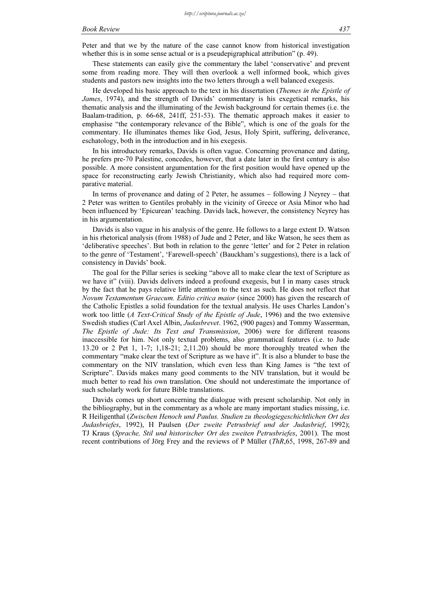Peter and that we by the nature of the case cannot know from historical investigation whether this is in some sense actual or is a pseudepigraphical attribution" (p. 49).

These statements can easily give the commentary the label 'conservative' and prevent some from reading more. They will then overlook a well informed book, which gives students and pastors new insights into the two letters through a well balanced exegesis.

He developed his basic approach to the text in his dissertation (Themes in the Epistle of James, 1974), and the strength of Davids' commentary is his exegetical remarks, his thematic analysis and the illuminating of the Jewish background for certain themes (i.e. the Baalam-tradition, p. 66-68, 241ff, 251-53). The thematic approach makes it easier to emphasise "the contemporary relevance of the Bible", which is one of the goals for the commentary. He illuminates themes like God, Jesus, Holy Spirit, suffering, deliverance, eschatology, both in the introduction and in his exegesis.

In his introductory remarks, Davids is often vague. Concerning provenance and dating, he prefers pre-70 Palestine, concedes, however, that a date later in the first century is also possible. A more consistent argumentation for the first position would have opened up the space for reconstructing early Jewish Christianity, which also had required more comparative material.

In terms of provenance and dating of 2 Peter, he assumes – following J Neyrey – that 2 Peter was written to Gentiles probably in the vicinity of Greece or Asia Minor who had been influenced by 'Epicurean' teaching. Davids lack, however, the consistency Neyrey has in his argumentation.

Davids is also vague in his analysis of the genre. He follows to a large extent D. Watson in his rhetorical analysis (from 1988) of Jude and 2 Peter, and like Watson, he sees them as 'deliberative speeches'. But both in relation to the genre 'letter' and for 2 Peter in relation to the genre of 'Testament', 'Farewell-speech' (Bauckham's suggestions), there is a lack of consistency in Davids' book.

The goal for the Pillar series is seeking "above all to make clear the text of Scripture as we have it" (viii). Davids delivers indeed a profound exegesis, but I in many cases struck by the fact that he pays relative little attention to the text as such. He does not reflect that Novum Testamentum Graecum. Editio critica maior (since 2000) has given the research of the Catholic Epistles a solid foundation for the textual analysis. He uses Charles Landon's work too little (A Text-Critical Study of the Epistle of Jude, 1996) and the two extensive Swedish studies (Carl Axel Albin, Judasbrevet. 1962, (900 pages) and Tommy Wasserman, The Epistle of Jude: Its Text and Transmission, 2006) were for different reasons inaccessible for him. Not only textual problems, also grammatical features (i.e. to Jude 13.20 or 2 Pet 1, 1-7; 1,18-21; 2,11.20) should be more thoroughly treated when the commentary "make clear the text of Scripture as we have it". It is also a blunder to base the commentary on the NIV translation, which even less than King James is "the text of Scripture". Davids makes many good comments to the NIV translation, but it would be much better to read his own translation. One should not underestimate the importance of such scholarly work for future Bible translations.

Davids comes up short concerning the dialogue with present scholarship. Not only in the bibliography, but in the commentary as a whole are many important studies missing, i.e. R Heiligenthal (Zwischen Henoch und Paulus. Studien zu theologiegeschichtlichen Ort des Judasbriefes, 1992), H Paulsen (Der zweite Petrusbrief und der Judasbrief, 1992); TJ Kraus (Sprache, Stil und historischer Ort des zweiten Petrusbriefes, 2001). The most recent contributions of Jörg Frey and the reviews of P Müller (ThR,65, 1998, 267-89 and